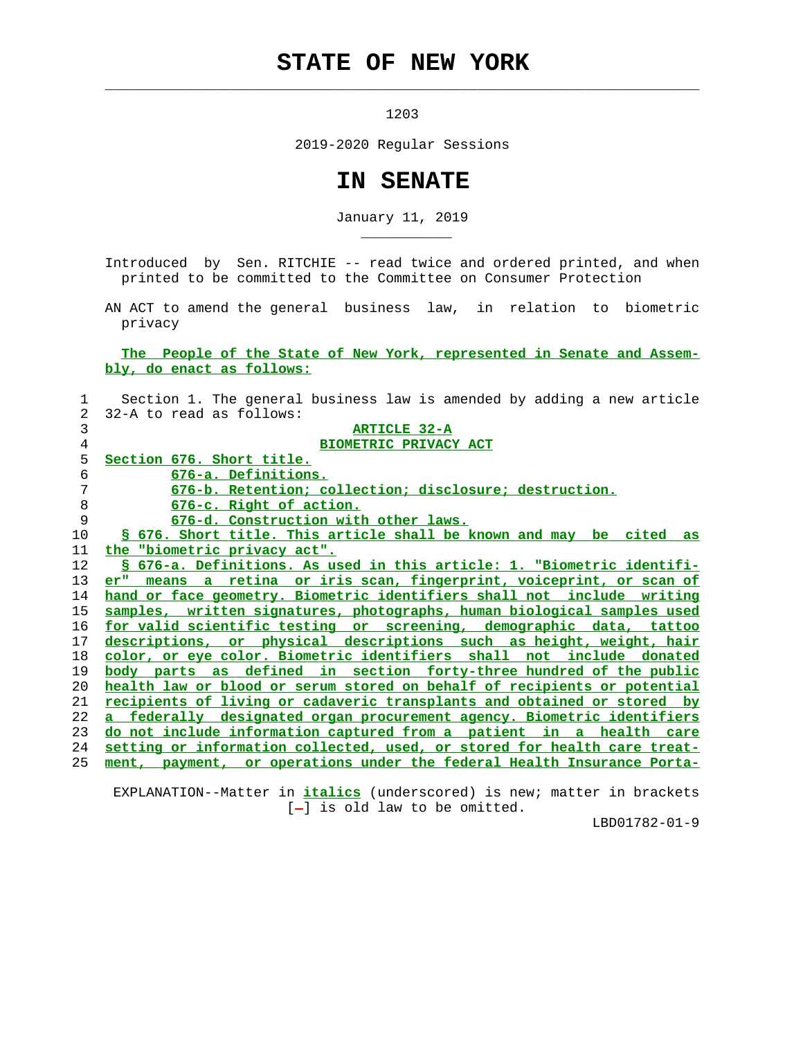## **STATE OF NEW YORK**

 $\mathcal{L}_\text{max} = \frac{1}{2} \sum_{i=1}^{n} \frac{1}{2} \sum_{i=1}^{n} \frac{1}{2} \sum_{i=1}^{n} \frac{1}{2} \sum_{i=1}^{n} \frac{1}{2} \sum_{i=1}^{n} \frac{1}{2} \sum_{i=1}^{n} \frac{1}{2} \sum_{i=1}^{n} \frac{1}{2} \sum_{i=1}^{n} \frac{1}{2} \sum_{i=1}^{n} \frac{1}{2} \sum_{i=1}^{n} \frac{1}{2} \sum_{i=1}^{n} \frac{1}{2} \sum_{i=1}^{n} \frac{1$ 

\_\_\_\_\_\_\_\_\_\_\_

1203

2019-2020 Regular Sessions

## **IN SENATE**

January 11, 2019

 Introduced by Sen. RITCHIE -- read twice and ordered printed, and when printed to be committed to the Committee on Consumer Protection

 AN ACT to amend the general business law, in relation to biometric privacy

## **The People of the State of New York, represented in Senate and Assem bly, do enact as follows:**

| $\mathbf{1}$ | Section 1. The general business law is amended by adding a new article    |
|--------------|---------------------------------------------------------------------------|
| 2            | 32-A to read as follows:                                                  |
| 3            | ARTICLE 32-A                                                              |
| 4            | <b>BIOMETRIC PRIVACY ACT</b>                                              |
| 5            | Section 676. Short title.                                                 |
| 6            | 676-a. Definitions.                                                       |
| 7            | 676-b. Retention; collection; disclosure; destruction.                    |
| 8            | 676-c. Right of action.                                                   |
| 9            | 676-d. Construction with other laws.                                      |
| 10           | \$ 676. Short title. This article shall be known and may be cited as      |
| 11           | the "biometric privacy act".                                              |
| 12           | § 676-a. Definitions. As used in this article: 1. "Biometric identifi-    |
| 13           | er" means a retina or iris scan, fingerprint, voiceprint, or scan of      |
| 14           | hand or face geometry. Biometric identifiers shall not include writing    |
| 15           | samples, written signatures, photographs, human biological samples used   |
| 16           | for valid scientific testing or screening, demographic data, tattoo       |
| 17           | descriptions, or physical descriptions such as height, weight, hair       |
| 18           | color, or eye color. Biometric identifiers shall not include donated      |
| 19           | <u>body parts as defined in section forty-three hundred of the public</u> |
| 20           | health law or blood or serum stored on behalf of recipients or potential  |
| 21           | recipients of living or cadaveric transplants and obtained or stored by   |
| 22           | a federally designated organ procurement agency. Biometric identifiers    |
| 23           | do not include information captured from a patient in a health care       |
| 24           | setting or information collected, used, or stored for health care treat-  |
| 25           | ment, payment, or operations under the federal Health Insurance Porta-    |
|              |                                                                           |

 EXPLANATION--Matter in **italics** (underscored) is new; matter in brackets  $[-]$  is old law to be omitted.

LBD01782-01-9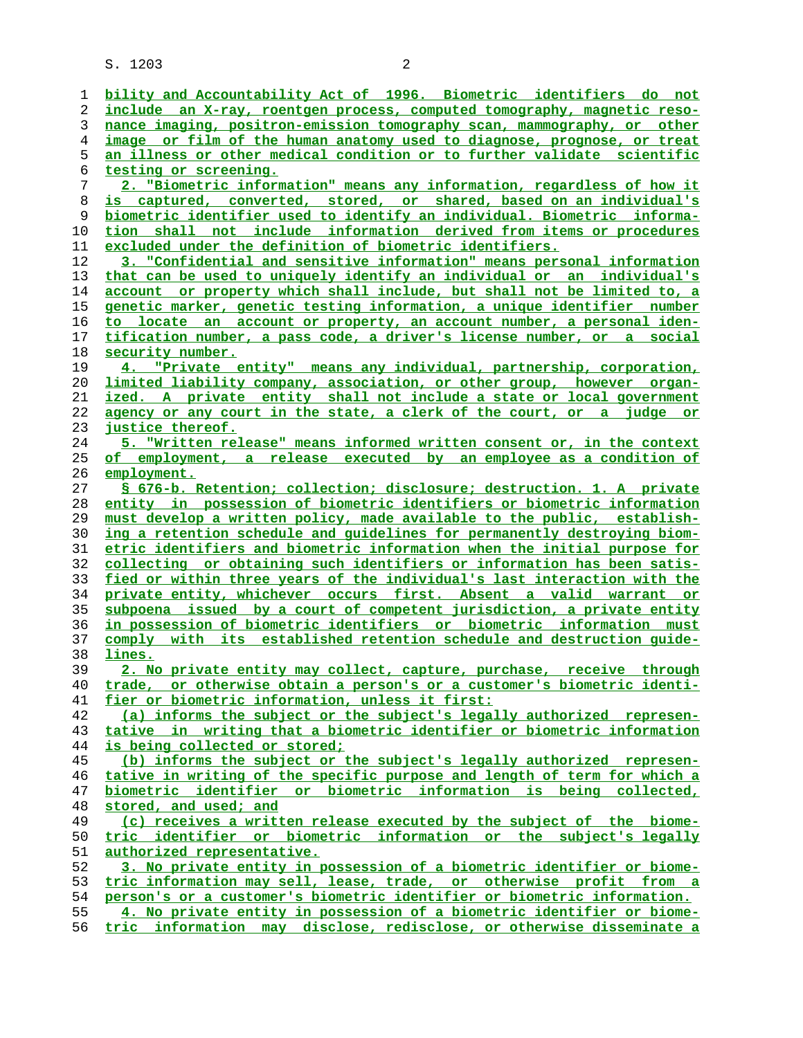S. 1203 2

|    | bility and Accountability Act of 1996. Biometric identifiers do not      |
|----|--------------------------------------------------------------------------|
| ı  | include an X-ray, roentgen process, computed tomography, magnetic reso-  |
| 2  |                                                                          |
| 3  | nance imaging, positron-emission tomography scan, mammography, or other  |
| 4  | image or film of the human anatomy used to diagnose, prognose, or treat  |
| 5  | an illness or other medical condition or to further validate scientific  |
| 6  | testing or screening.                                                    |
| 7  | 2. "Biometric information" means any information, regardless of how it   |
| 8  | is captured, converted, stored, or shared, based on an individual's      |
| 9  | biometric identifier used to identify an individual. Biometric informa-  |
| 10 | tion shall not include information derived from items or procedures      |
| 11 | excluded under the definition of biometric identifiers.                  |
| 12 | 3. "Confidential and sensitive information" means personal information   |
| 13 | that can be used to uniquely identify an individual or an individual's   |
| 14 | account or property which shall include, but shall not be limited to, a  |
| 15 | genetic marker, genetic testing information, a unique identifier number  |
| 16 | to locate an account or property, an account number, a personal iden-    |
| 17 | tification number, a pass code, a driver's license number, or a social   |
| 18 | security number.                                                         |
| 19 | 4. "Private entity" means any individual, partnership, corporation,      |
| 20 | limited liability company, association, or other group, however organ-   |
| 21 | ized. A private entity shall not include a state or local government     |
| 22 | agency or any court in the state, a clerk of the court, or a judge or    |
| 23 | justice thereof.                                                         |
| 24 | 5. "Written release" means informed written consent or, in the context   |
| 25 | of employment, a release executed by an employee as a condition of       |
| 26 | employment.                                                              |
| 27 | § 676-b. Retention; collection; disclosure; destruction. 1. A private    |
|    |                                                                          |
| 28 | entity in possession of biometric identifiers or biometric information   |
| 29 | must develop a written policy, made available to the public, establish-  |
| 30 | ing a retention schedule and quidelines for permanently destroying biom- |
| 31 | etric identifiers and biometric information when the initial purpose for |
| 32 | collecting or obtaining such identifiers or information has been satis-  |
| 33 | fied or within three years of the individual's last interaction with the |
| 34 | private entity, whichever occurs first. Absent a valid warrant or        |
| 35 | subpoena issued by a court of competent jurisdiction, a private entity   |
| 36 | in possession of biometric identifiers or biometric information must     |
| 37 | comply with its established retention schedule and destruction quide-    |
| 38 | lines.                                                                   |
| 39 | 2. No private entity may collect, capture, purchase, receive through     |
| 40 | trade, or otherwise obtain a person's or a customer's biometric identi-  |
| 41 | fier or biometric information, unless it first:                          |
| 42 | (a) informs the subject or the subject's legally authorized represen-    |
| 43 | tative in writing that a biometric identifier or biometric information   |
| 44 | is being collected or stored;                                            |
| 45 | (b) informs the subject or the subject's legally authorized represen-    |
| 46 | tative in writing of the specific purpose and length of term for which a |
| 47 | biometric identifier or biometric information is being collected,        |
| 48 | stored, and used; and                                                    |
| 49 | (c) receives a written release executed by the subject of the biome-     |
| 50 | tric identifier or biometric information or the subject's legally        |
| 51 | authorized representative.                                               |
| 52 | 3. No private entity in possession of a biometric identifier or biome-   |
| 53 | tric information may sell, lease, trade, or otherwise profit from a      |
| 54 | person's or a customer's biometric identifier or biometric information.  |
| 55 | 4. No private entity in possession of a biometric identifier or biome-   |
| 56 | tric information may disclose, redisclose, or otherwise disseminate a    |
|    |                                                                          |